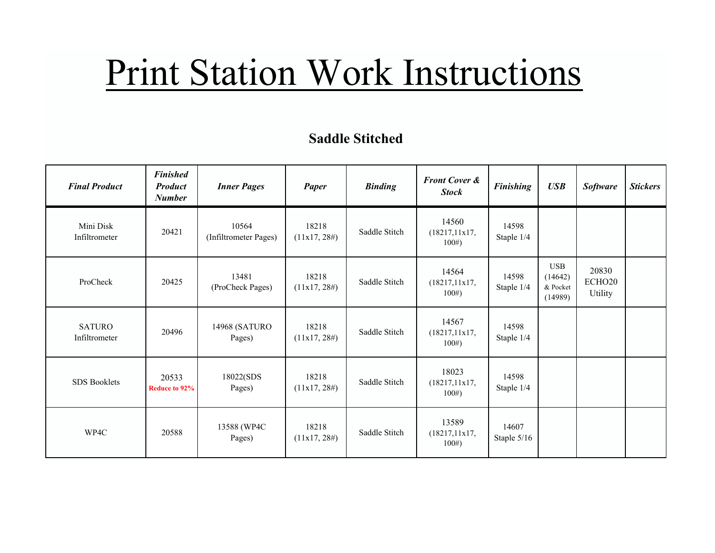# Print Station Work Instructions

#### **Saddle Stitched**

| <b>Final Product</b>           | <b>Finished</b><br><b>Product</b><br><b>Number</b> | <b>Inner Pages</b>             | <b>Paper</b>             | <b>Binding</b> | <b>Front Cover &amp;</b><br><b>Stock</b> | <b>Finishing</b>       | <b>USB</b>                                   | <b>Software</b>                               | <b>Stickers</b> |
|--------------------------------|----------------------------------------------------|--------------------------------|--------------------------|----------------|------------------------------------------|------------------------|----------------------------------------------|-----------------------------------------------|-----------------|
| Mini Disk<br>Infiltrometer     | 20421                                              | 10564<br>(Infiltrometer Pages) | 18218<br>$(11x17, 28\#)$ | Saddle Stitch  | 14560<br>(18217, 11x17,<br>100#          | 14598<br>Staple 1/4    |                                              |                                               |                 |
| ProCheck                       | 20425                                              | 13481<br>(ProCheck Pages)      | 18218<br>(11x17, 28#)    | Saddle Stitch  | 14564<br>(18217, 11x17,<br>100#          | 14598<br>Staple 1/4    | <b>USB</b><br>(14642)<br>& Pocket<br>(14989) | 20830<br>ECHO <sub>20</sub><br><b>Utility</b> |                 |
| <b>SATURO</b><br>Infiltrometer | 20496                                              | 14968 (SATURO<br>Pages)        | 18218<br>(11x17, 28#)    | Saddle Stitch  | 14567<br>(18217, 11x17,<br>100#          | 14598<br>Staple 1/4    |                                              |                                               |                 |
| <b>SDS Booklets</b>            | 20533<br>Reduce to 92%                             | 18022(SDS<br>Pages)            | 18218<br>(11x17, 28#)    | Saddle Stitch  | 18023<br>(18217, 11x17,<br>100#          | 14598<br>Staple 1/4    |                                              |                                               |                 |
| WP4C                           | 20588                                              | 13588 (WP4C)<br>Pages)         | 18218<br>(11x17, 28#)    | Saddle Stitch  | 13589<br>(18217, 11x17,<br>100#          | 14607<br>Staple $5/16$ |                                              |                                               |                 |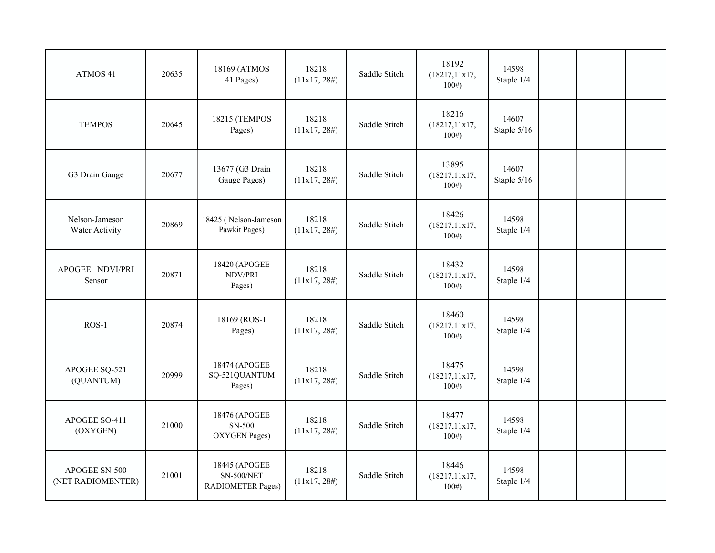| ATMOS 41                           | 20635 | 18169 (ATMOS<br>41 Pages)                                      | 18218<br>(11x17, 28#)    | Saddle Stitch | 18192<br>(18217, 11x17,<br>100# | 14598<br>Staple 1/4  |  |  |
|------------------------------------|-------|----------------------------------------------------------------|--------------------------|---------------|---------------------------------|----------------------|--|--|
| <b>TEMPOS</b>                      | 20645 | 18215 (TEMPOS<br>Pages)                                        | 18218<br>$(11x17, 28\#)$ | Saddle Stitch | 18216<br>(18217, 11x17,<br>100# | 14607<br>Staple 5/16 |  |  |
| G3 Drain Gauge                     | 20677 | 13677 (G3 Drain<br>Gauge Pages)                                | 18218<br>(11x17, 28#)    | Saddle Stitch | 13895<br>(18217, 11x17,<br>100# | 14607<br>Staple 5/16 |  |  |
| Nelson-Jameson<br>Water Activity   | 20869 | 18425 (Nelson-Jameson<br>Pawkit Pages)                         | 18218<br>(11x17, 28#)    | Saddle Stitch | 18426<br>(18217, 11x17,<br>100# | 14598<br>Staple 1/4  |  |  |
| APOGEE NDVI/PRI<br>Sensor          | 20871 | 18420 (APOGEE<br>NDV/PRI<br>Pages)                             | 18218<br>(11x17, 28#)    | Saddle Stitch | 18432<br>(18217, 11x17,<br>100# | 14598<br>Staple 1/4  |  |  |
| $ROS-1$                            | 20874 | 18169 (ROS-1<br>Pages)                                         | 18218<br>(11x17, 28#)    | Saddle Stitch | 18460<br>(18217, 11x17,<br>100# | 14598<br>Staple 1/4  |  |  |
| APOGEE SQ-521<br>(QUANTUM)         | 20999 | 18474 (APOGEE<br>SQ-521QUANTUM<br>Pages)                       | 18218<br>(11x17, 28#)    | Saddle Stitch | 18475<br>(18217, 11x17,<br>100# | 14598<br>Staple 1/4  |  |  |
| APOGEE SO-411<br>(OXYGEN)          | 21000 | 18476 (APOGEE<br>SN-500<br><b>OXYGEN Pages)</b>                | 18218<br>(11x17, 28#)    | Saddle Stitch | 18477<br>(18217, 11x17,<br>100# | 14598<br>Staple 1/4  |  |  |
| APOGEE SN-500<br>(NET RADIOMENTER) | 21001 | 18445 (APOGEE<br><b>SN-500/NET</b><br><b>RADIOMETER Pages)</b> | 18218<br>(11x17, 28#)    | Saddle Stitch | 18446<br>(18217, 11x17,<br>100# | 14598<br>Staple 1/4  |  |  |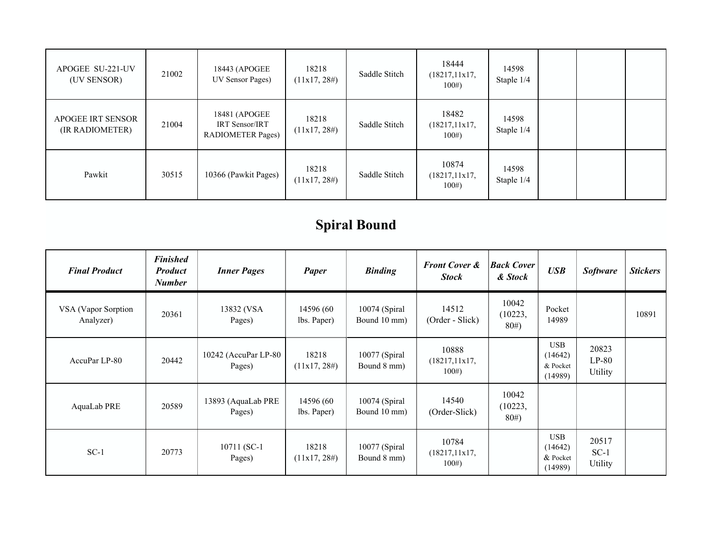| APOGEE SU-221-UV<br>(UV SENSOR)      | 21002 | 18443 (APOGEE<br>UV Sensor Pages)                                  | 18218<br>$(11x17, 28\#)$ | Saddle Stitch | 18444<br>(18217, 11x17,<br>100# | 14598<br>Staple 1/4 |  |  |
|--------------------------------------|-------|--------------------------------------------------------------------|--------------------------|---------------|---------------------------------|---------------------|--|--|
| APOGEE IRT SENSOR<br>(IR RADIOMETER) | 21004 | 18481 (APOGEE<br><b>IRT Sensor/IRT</b><br><b>RADIOMETER Pages)</b> | 18218<br>(11x17, 28#)    | Saddle Stitch | 18482<br>(18217, 11x17,<br>100# | 14598<br>Staple 1/4 |  |  |
| Pawkit                               | 30515 | 10366 (Pawkit Pages)                                               | 18218<br>(11x17, 28#)    | Saddle Stitch | 10874<br>(18217, 11x17,<br>100# | 14598<br>Staple 1/4 |  |  |

## **Spiral Bound**

| <b>Final Product</b>             | <b>Finished</b><br><b>Product</b><br><b>Number</b> | <b>Inner Pages</b>             | Paper                     | <b>Binding</b>                | <b>Front Cover &amp;</b><br><b>Stock</b> | <b>Back Cover</b><br>& Stock | <b>USB</b>                                   | <b>Software</b>             | <b>Stickers</b> |
|----------------------------------|----------------------------------------------------|--------------------------------|---------------------------|-------------------------------|------------------------------------------|------------------------------|----------------------------------------------|-----------------------------|-----------------|
| VSA (Vapor Sorption<br>Analyzer) | 20361                                              | 13832 (VSA<br>Pages)           | 14596 (60<br>lbs. Paper)  | 10074 (Spiral<br>Bound 10 mm) | 14512<br>(Order - Slick)                 | 10042<br>(10223,<br>80#      | Pocket<br>14989                              |                             | 10891           |
| AccuPar LP-80                    | 20442                                              | 10242 (AccuPar LP-80<br>Pages) | 18218<br>(11x17, 28#)     | 10077 (Spiral<br>Bound 8 mm)  | 10888<br>(18217, 11x17,<br>100#          |                              | USB<br>(14642)<br>& Pocket<br>(14989)        | 20823<br>$LP-80$<br>Utility |                 |
| AquaLab PRE                      | 20589                                              | 13893 (AquaLab PRE<br>Pages)   | 14596 (60)<br>lbs. Paper) | 10074 (Spiral<br>Bound 10 mm) | 14540<br>(Order-Slick)                   | 10042<br>(10223,<br>80#      |                                              |                             |                 |
| $SC-1$                           | 20773                                              | 10711 (SC-1)<br>Pages)         | 18218<br>(11x17, 28#)     | 10077 (Spiral<br>Bound 8 mm)  | 10784<br>(18217, 11x17,<br>100#          |                              | <b>USB</b><br>(14642)<br>& Pocket<br>(14989) | 20517<br>$SC-1$<br>Utility  |                 |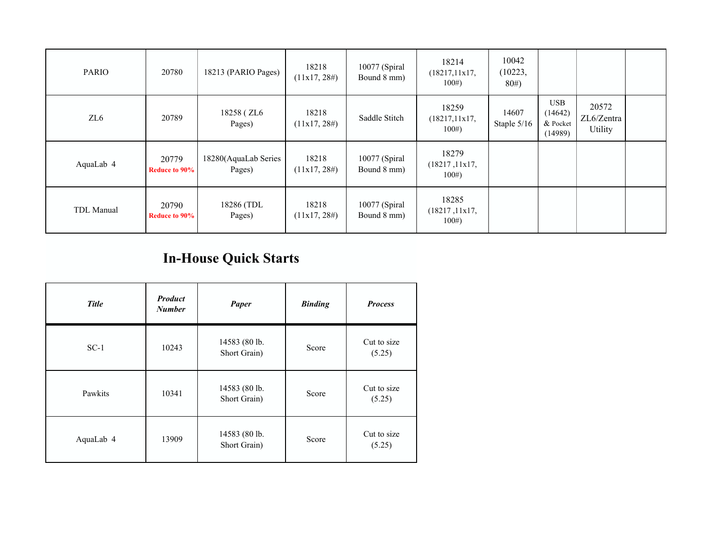| <b>PARIO</b> | 20780                         | 18213 (PARIO Pages)            | 18218<br>(11x17, 28#)    | 10077 (Spiral<br>Bound 8 mm) | 18214<br>(18217, 11x17,<br>100# | 10042<br>(10223,<br>80# |                                       |                                |  |
|--------------|-------------------------------|--------------------------------|--------------------------|------------------------------|---------------------------------|-------------------------|---------------------------------------|--------------------------------|--|
| ZL6          | 20789                         | 18258 (ZL6<br>Pages)           | 18218<br>(11x17, 28#)    | Saddle Stitch                | 18259<br>(18217, 11x17,<br>100# | 14607<br>Staple $5/16$  | USB<br>(14642)<br>& Pocket<br>(14989) | 20572<br>ZL6/Zentra<br>Utility |  |
| AquaLab 4    | 20779<br><b>Reduce to 90%</b> | 18280(AquaLab Series<br>Pages) | 18218<br>(11x17, 28#)    | 10077 (Spiral<br>Bound 8 mm) | 18279<br>(18217, 11x17,<br>100# |                         |                                       |                                |  |
| TDL Manual   | 20790<br><b>Reduce to 90%</b> | 18286 (TDL<br>Pages)           | 18218<br>$(11x17, 28\#)$ | 10077 (Spiral<br>Bound 8 mm) | 18285<br>(18217, 11x17,<br>100# |                         |                                       |                                |  |

## **In-House Quick Starts**

| <b>Title</b> | <b>Product</b><br><b>Number</b> | Paper                         | <b>Binding</b> | <b>Process</b>        |
|--------------|---------------------------------|-------------------------------|----------------|-----------------------|
| $SC-1$       | 10243                           | 14583 (80 lb.<br>Short Grain) | Score          | Cut to size<br>(5.25) |
| Pawkits      | 10341                           | 14583 (80 lb.<br>Short Grain) | Score          | Cut to size<br>(5.25) |
| AquaLab 4    | 13909                           | 14583 (80 lb.<br>Short Grain) | Score          | Cut to size<br>(5.25) |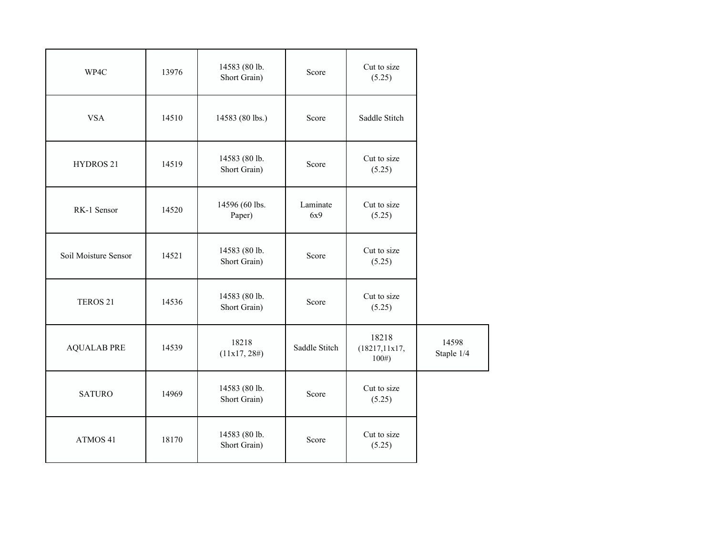| WP4C                 | 13976 | 14583 (80 lb.<br>Short Grain) | Score           | Cut to size<br>(5.25)           |                     |
|----------------------|-------|-------------------------------|-----------------|---------------------------------|---------------------|
| <b>VSA</b>           | 14510 | 14583 (80 lbs.)               | Score           | Saddle Stitch                   |                     |
| HYDROS <sub>21</sub> | 14519 | 14583 (80 lb.<br>Short Grain) | Score           | Cut to size<br>(5.25)           |                     |
| RK-1 Sensor          | 14520 | 14596 (60 lbs.<br>Paper)      | Laminate<br>6x9 | Cut to size<br>(5.25)           |                     |
| Soil Moisture Sensor | 14521 | 14583 (80 lb.<br>Short Grain) | Score           | Cut to size<br>(5.25)           |                     |
| TEROS <sub>21</sub>  | 14536 | 14583 (80 lb.<br>Short Grain) | Score           | Cut to size<br>(5.25)           |                     |
| <b>AQUALAB PRE</b>   | 14539 | 18218<br>(11x17, 28#)         | Saddle Stitch   | 18218<br>(18217, 11x17,<br>100# | 14598<br>Staple 1/4 |
| <b>SATURO</b>        | 14969 | 14583 (80 lb.<br>Short Grain) | Score           | Cut to size<br>(5.25)           |                     |
| ATMOS <sub>41</sub>  | 18170 | 14583 (80 lb.<br>Short Grain) | Score           | Cut to size<br>(5.25)           |                     |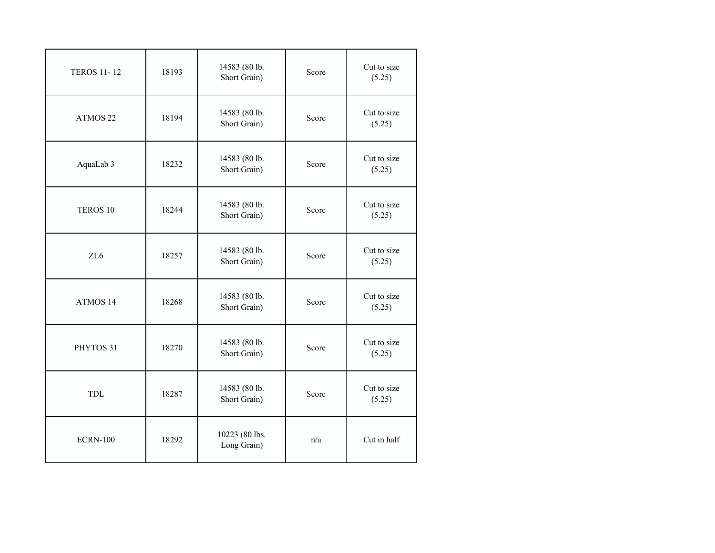| <b>TEROS 11-12</b>  | 18193 | 14583 (80 lb.<br>Short Grain) | Score | Cut to size<br>(5.25) |
|---------------------|-------|-------------------------------|-------|-----------------------|
| ATMOS <sub>22</sub> | 18194 | 14583 (80 lb.<br>Short Grain) | Score | Cut to size<br>(5.25) |
| AquaLab 3           | 18232 | 14583 (80 lb.<br>Short Grain) | Score | Cut to size<br>(5.25) |
| TEROS <sub>10</sub> | 18244 | 14583 (80 lb.<br>Short Grain) | Score | Cut to size<br>(5.25) |
| ZL6                 | 18257 | 14583 (80 lb.<br>Short Grain) | Score | Cut to size<br>(5.25) |
| ATMOS 14            | 18268 | 14583 (80 lb.<br>Short Grain) | Score | Cut to size<br>(5.25) |
| PHYTOS 31           | 18270 | 14583 (80 lb.<br>Short Grain) | Score | Cut to size<br>(5.25) |
| <b>TDL</b>          | 18287 | 14583 (80 lb.<br>Short Grain) | Score | Cut to size<br>(5.25) |
| <b>ECRN-100</b>     | 18292 | 10223 (80 lbs.<br>Long Grain) | n/a   | Cut in half           |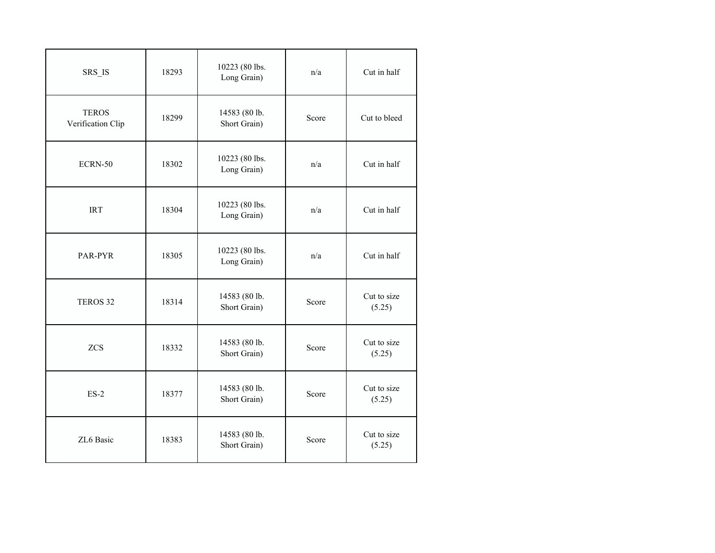| SRS IS                            | 18293 | 10223 (80 lbs.<br>Long Grain) | n/a   | Cut in half           |
|-----------------------------------|-------|-------------------------------|-------|-----------------------|
| <b>TEROS</b><br>Verification Clip | 18299 | 14583 (80 lb.<br>Short Grain) | Score | Cut to bleed          |
| ECRN-50                           | 18302 | 10223 (80 lbs.<br>Long Grain) | n/a   | Cut in half           |
| <b>IRT</b>                        | 18304 | 10223 (80 lbs.<br>Long Grain) | n/a   | Cut in half           |
| PAR-PYR                           | 18305 | 10223 (80 lbs.<br>Long Grain) | n/a   | Cut in half           |
| TEROS 32                          | 18314 | 14583 (80 lb.<br>Short Grain) | Score | Cut to size<br>(5.25) |
| <b>ZCS</b>                        | 18332 | 14583 (80 lb.<br>Short Grain) | Score | Cut to size<br>(5.25) |
| $ES-2$                            | 18377 | 14583 (80 lb.<br>Short Grain) | Score | Cut to size<br>(5.25) |
| ZL6 Basic                         | 18383 | 14583 (80 lb.<br>Short Grain) | Score | Cut to size<br>(5.25) |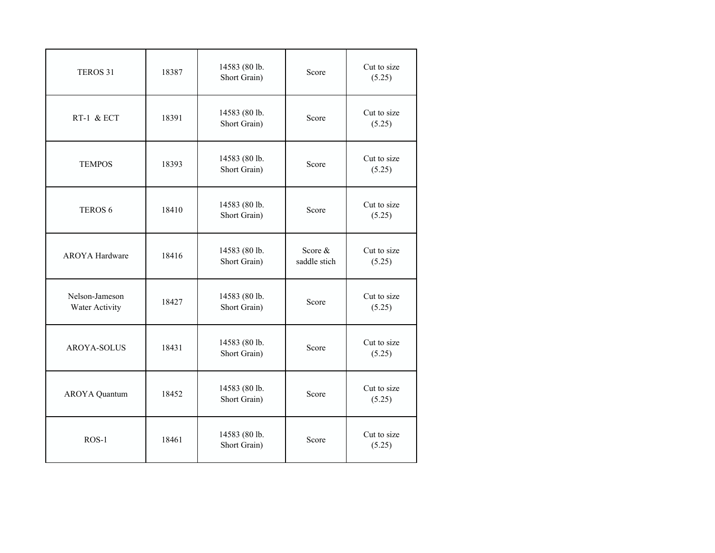| TEROS 31                         | 18387 | 14583 (80 lb.<br>Short Grain) | Score                     | Cut to size<br>(5.25) |
|----------------------------------|-------|-------------------------------|---------------------------|-----------------------|
| RT-1 & ECT                       | 18391 | 14583 (80 lb.<br>Short Grain) | Score                     | Cut to size<br>(5.25) |
| <b>TEMPOS</b>                    | 18393 | 14583 (80 lb.<br>Short Grain) | Score                     | Cut to size<br>(5.25) |
| TEROS <sub>6</sub>               | 18410 | 14583 (80 lb.<br>Short Grain) | Score                     | Cut to size<br>(5.25) |
| <b>AROYA</b> Hardware            | 18416 | 14583 (80 lb.<br>Short Grain) | Score $&$<br>saddle stich | Cut to size<br>(5.25) |
| Nelson-Jameson<br>Water Activity | 18427 | 14583 (80 lb.<br>Short Grain) | Score                     | Cut to size<br>(5.25) |
| AROYA-SOLUS                      | 18431 | 14583 (80 lb.<br>Short Grain) | Score                     | Cut to size<br>(5.25) |
| <b>AROYA</b> Quantum             | 18452 | 14583 (80 lb.<br>Short Grain) | Score                     | Cut to size<br>(5.25) |
| $ROS-1$                          | 18461 | 14583 (80 lb.<br>Short Grain) | Score                     | Cut to size<br>(5.25) |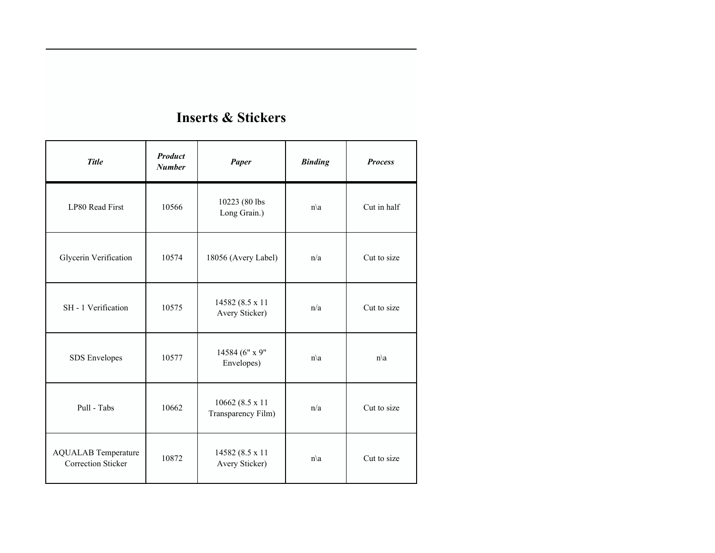#### **Inserts & Stickers**

| <b>Title</b>                                     | <b>Product</b><br>Paper<br><b>Number</b> |                                       | <b>Binding</b>  | <b>Process</b>  |
|--------------------------------------------------|------------------------------------------|---------------------------------------|-----------------|-----------------|
| LP80 Read First                                  | 10566                                    | 10223 (80 lbs<br>Long Grain.)         | $n\backslash a$ | Cut in half     |
| Glycerin Verification                            | 10574                                    | 18056 (Avery Label)                   | n/a             | Cut to size     |
| SH - 1 Verification                              | 10575                                    | 14582 (8.5 x 11<br>Avery Sticker)     | n/a             | Cut to size     |
| SDS Envelopes                                    | 10577                                    | 14584 (6" x 9"<br>Envelopes)          | $n\backslash a$ | $n\backslash a$ |
| Pull - Tabs                                      | 10662                                    | 10662 (8.5 x 11<br>Transparency Film) | n/a             | Cut to size     |
| <b>AQUALAB</b> Temperature<br>Correction Sticker | 10872                                    | 14582 (8.5 x 11)<br>Avery Sticker)    | $n\backslash a$ | Cut to size     |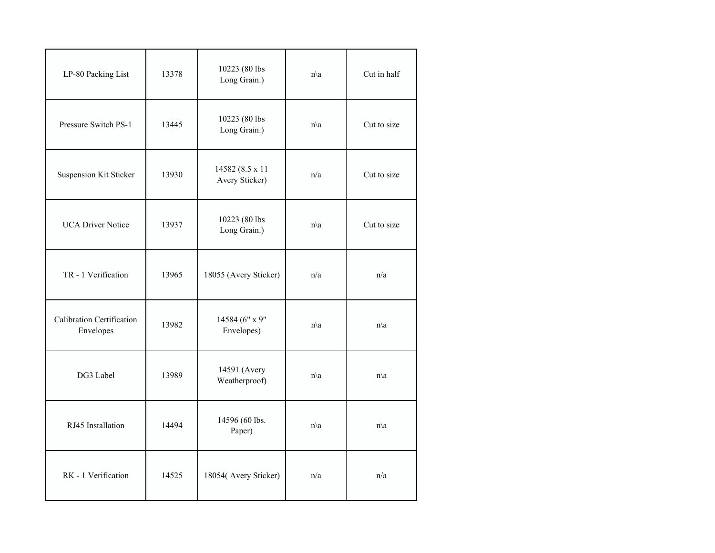| LP-80 Packing List                     | 13378 | 10223 (80 lbs<br>Long Grain.)      | $n\backslash a$ | Cut in half     |
|----------------------------------------|-------|------------------------------------|-----------------|-----------------|
| Pressure Switch PS-1                   | 13445 | 10223 (80 lbs<br>Long Grain.)      | $n\backslash a$ | Cut to size     |
| Suspension Kit Sticker                 | 13930 | 14582 (8.5 x 11)<br>Avery Sticker) | n/a             | Cut to size     |
| <b>UCA Driver Notice</b>               | 13937 | 10223 (80 lbs<br>Long Grain.)      | $n\backslash a$ | Cut to size     |
| TR - 1 Verification                    | 13965 | 18055 (Avery Sticker)              | n/a             | n/a             |
| Calibration Certification<br>Envelopes | 13982 | 14584 (6" x 9"<br>Envelopes)       | $n\backslash a$ | $n\backslash a$ |
| DG3 Label                              | 13989 | 14591 (Avery<br>Weatherproof)      | $n\backslash a$ | $n\backslash a$ |
| RJ45 Installation                      | 14494 | 14596 (60 lbs.<br>Paper)           | $n\backslash a$ | $n\backslash a$ |
| RK - 1 Verification                    | 14525 | 18054(Avery Sticker)               | n/a             | n/a             |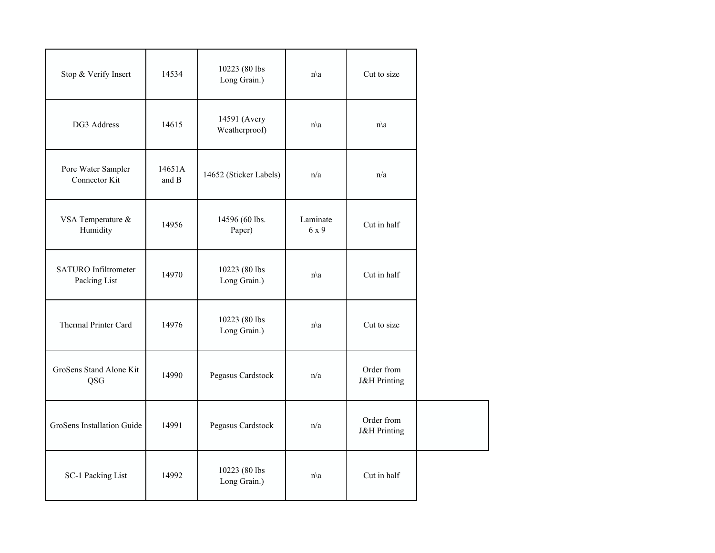| Stop & Verify Insert                        | 14534           | 10223 (80 lbs<br>Long Grain.) | $n\backslash a$   | Cut to size                           |
|---------------------------------------------|-----------------|-------------------------------|-------------------|---------------------------------------|
| DG3 Address                                 | 14615           | 14591 (Avery<br>Weatherproof) | $n\backslash a$   | $n\backslash a$                       |
| Pore Water Sampler<br>Connector Kit         | 14651A<br>and B | 14652 (Sticker Labels)        | n/a               | n/a                                   |
| VSA Temperature &<br>Humidity               | 14956           | 14596 (60 lbs.<br>Paper)      | Laminate<br>6 x 9 | Cut in half                           |
| <b>SATURO</b> Infiltrometer<br>Packing List | 14970           | 10223 (80 lbs<br>Long Grain.) | $n\backslash a$   | Cut in half                           |
| Thermal Printer Card                        | 14976           | 10223 (80 lbs<br>Long Grain.) | $n\backslash a$   | Cut to size                           |
| GroSens Stand Alone Kit<br>QSG              | 14990           | Pegasus Cardstock             | n/a               | Order from<br><b>J&amp;H</b> Printing |
| GroSens Installation Guide                  | 14991           | Pegasus Cardstock             | n/a               | Order from<br><b>J&amp;H</b> Printing |
| SC-1 Packing List                           | 14992           | 10223 (80 lbs<br>Long Grain.) | $n\backslash a$   | Cut in half                           |

 $\mathbb{R}^2$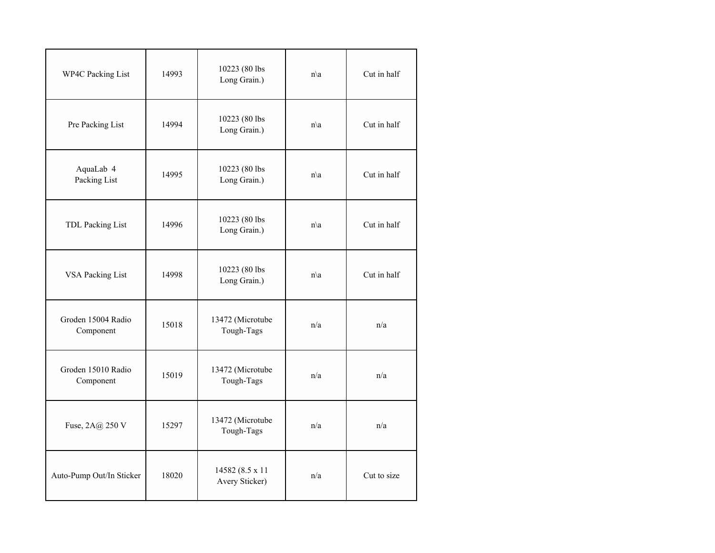| <b>WP4C Packing List</b>        | 14993 | 10223 (80 lbs<br>Long Grain.)      | $n\backslash a$ | Cut in half |
|---------------------------------|-------|------------------------------------|-----------------|-------------|
| Pre Packing List                | 14994 | 10223 (80 lbs<br>Long Grain.)      | $n\backslash a$ | Cut in half |
| AquaLab 4<br>Packing List       | 14995 | 10223 (80 lbs<br>Long Grain.)      | $n\backslash a$ | Cut in half |
| TDL Packing List                | 14996 | 10223 (80 lbs<br>Long Grain.)      | $n\backslash a$ | Cut in half |
| <b>VSA Packing List</b>         | 14998 | 10223 (80 lbs<br>Long Grain.)      | $n\backslash a$ | Cut in half |
| Groden 15004 Radio<br>Component | 15018 | 13472 (Microtube<br>Tough-Tags     | n/a             | n/a         |
| Groden 15010 Radio<br>Component | 15019 | 13472 (Microtube<br>Tough-Tags     | n/a             | n/a         |
| Fuse, 2A@ 250 V                 | 15297 | 13472 (Microtube<br>Tough-Tags     | n/a             | n/a         |
| Auto-Pump Out/In Sticker        | 18020 | 14582 (8.5 x 11)<br>Avery Sticker) | n/a             | Cut to size |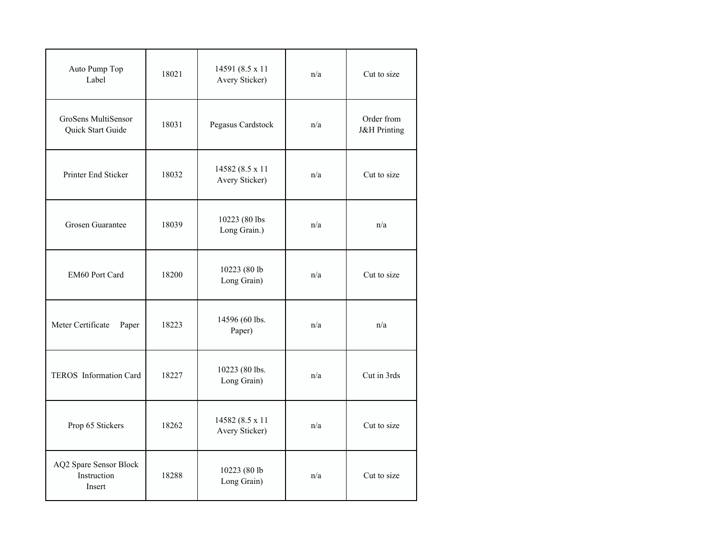| Auto Pump Top<br>Label                          | 18021 | 14591 (8.5 x 11)<br>Avery Sticker) | n/a | Cut to size                           |
|-------------------------------------------------|-------|------------------------------------|-----|---------------------------------------|
| GroSens MultiSensor<br>Quick Start Guide        | 18031 | Pegasus Cardstock                  | n/a | Order from<br><b>J&amp;H</b> Printing |
| Printer End Sticker                             | 18032 | 14582 (8.5 x 11)<br>Avery Sticker) | n/a | Cut to size                           |
| Grosen Guarantee                                | 18039 | 10223 (80 lbs<br>Long Grain.)      | n/a | n/a                                   |
| EM60 Port Card                                  | 18200 | 10223 (80 lb<br>Long Grain)        | n/a | Cut to size                           |
| Meter Certificate<br>Paper                      | 18223 | 14596 (60 lbs.<br>Paper)           | n/a | n/a                                   |
| TEROS Information Card                          | 18227 | 10223 (80 lbs.<br>Long Grain)      | n/a | Cut in 3rds                           |
| Prop 65 Stickers                                | 18262 | 14582 (8.5 x 11<br>Avery Sticker)  | n/a | Cut to size                           |
| AQ2 Spare Sensor Block<br>Instruction<br>Insert | 18288 | 10223 (80 lb<br>Long Grain)        | n/a | Cut to size                           |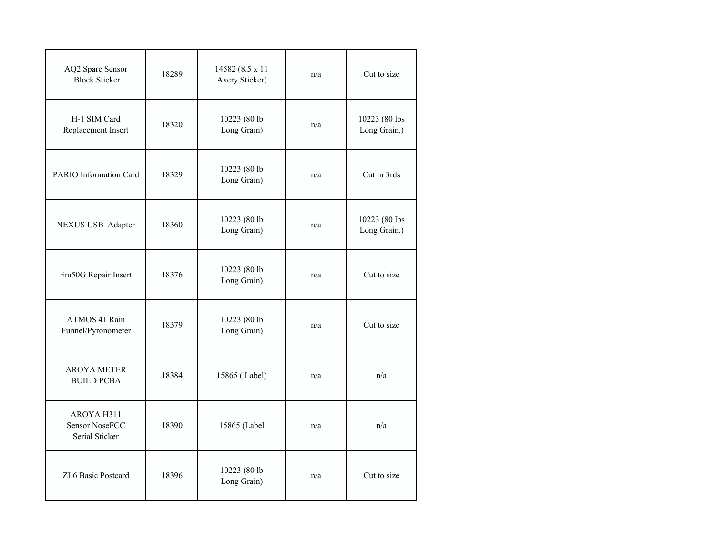| AQ2 Spare Sensor<br><b>Block Sticker</b>              | 18289 | 14582 (8.5 x 11<br>Avery Sticker) | n/a | Cut to size                   |
|-------------------------------------------------------|-------|-----------------------------------|-----|-------------------------------|
| H-1 SIM Card<br>Replacement Insert                    | 18320 | 10223 (80 lb<br>Long Grain)       | n/a | 10223 (80 lbs<br>Long Grain.) |
| PARIO Information Card                                | 18329 | 10223 (80 lb<br>Long Grain)       | n/a | Cut in 3rds                   |
| NEXUS USB Adapter                                     | 18360 | 10223 (80 lb<br>Long Grain)       | n/a | 10223 (80 lbs<br>Long Grain.) |
| Em50G Repair Insert                                   | 18376 | 10223 (80 lb<br>Long Grain)       | n/a | Cut to size                   |
| ATMOS 41 Rain<br>Funnel/Pyronometer                   | 18379 | 10223 (80 lb<br>Long Grain)       | n/a | Cut to size                   |
| <b>AROYA METER</b><br><b>BUILD PCBA</b>               | 18384 | 15865 (Label)                     | n/a | n/a                           |
| AROYA H311<br><b>Sensor NoseFCC</b><br>Serial Sticker | 18390 | 15865 (Label                      | n/a | n/a                           |
| ZL6 Basic Postcard                                    | 18396 | 10223 (80 lb<br>Long Grain)       | n/a | Cut to size                   |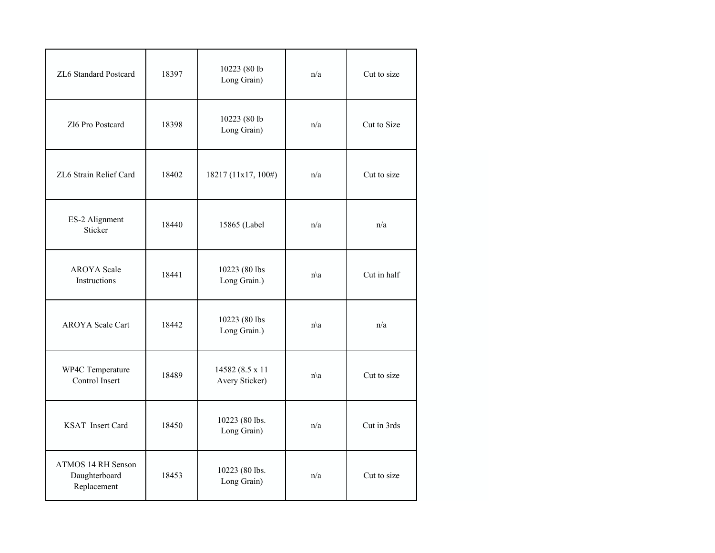| ZL6 Standard Postcard                              | 18397 | 10223 (80 lb<br>Long Grain)       | n/a             | Cut to size |  |
|----------------------------------------------------|-------|-----------------------------------|-----------------|-------------|--|
| Zl6 Pro Postcard                                   | 18398 | 10223 (80 lb<br>Long Grain)       | n/a             | Cut to Size |  |
| ZL6 Strain Relief Card                             | 18402 | 18217 (11x17, 100#)               | n/a             | Cut to size |  |
| ES-2 Alignment<br>Sticker                          | 18440 | 15865 (Label                      | n/a             | n/a         |  |
| <b>AROYA</b> Scale<br>Instructions                 | 18441 | 10223 (80 lbs<br>Long Grain.)     | $n\backslash a$ | Cut in half |  |
| <b>AROYA</b> Scale Cart                            | 18442 | 10223 (80 lbs<br>Long Grain.)     | $n\backslash a$ | n/a         |  |
| WP4C Temperature<br>Control Insert                 | 18489 | 14582 (8.5 x 11<br>Avery Sticker) | $n\backslash a$ | Cut to size |  |
| <b>KSAT</b> Insert Card                            | 18450 | 10223 (80 lbs.<br>Long Grain)     | n/a             | Cut in 3rds |  |
| ATMOS 14 RH Senson<br>Daughterboard<br>Replacement | 18453 | 10223 (80 lbs.<br>Long Grain)     | n/a             | Cut to size |  |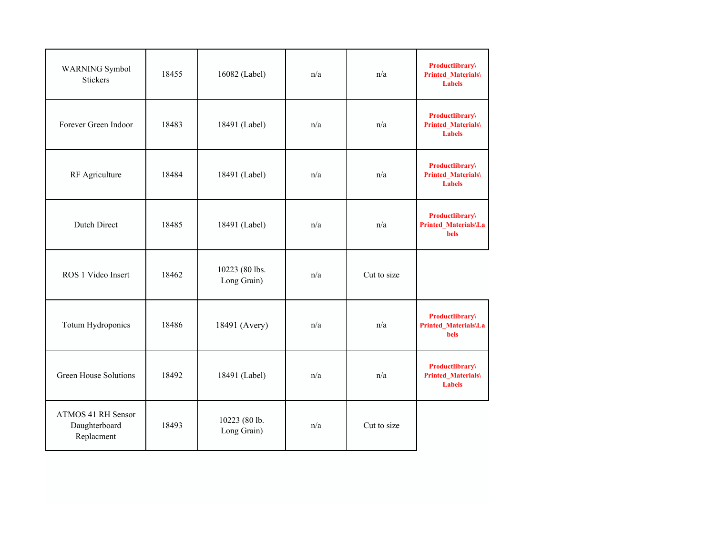| WARNING Symbol<br>Stickers                        | 18455 | 16082 (Label)                 | n/a | n/a         | <b>Productlibrary</b><br><b>Printed_Materials\</b><br><b>Labels</b> |
|---------------------------------------------------|-------|-------------------------------|-----|-------------|---------------------------------------------------------------------|
| Forever Green Indoor                              | 18483 | 18491 (Label)                 | n/a | n/a         | <b>Productlibrary</b><br><b>Printed_Materials\</b><br><b>Labels</b> |
| RF Agriculture                                    | 18484 | 18491 (Label)                 | n/a | n/a         | <b>Productlibrary</b><br><b>Printed_Materials\</b><br><b>Labels</b> |
| Dutch Direct                                      | 18485 | 18491 (Label)                 | n/a | n/a         | <b>Productlibrary</b><br>Printed Materials\La<br><b>bels</b>        |
| ROS 1 Video Insert                                | 18462 | 10223 (80 lbs.<br>Long Grain) | n/a | Cut to size |                                                                     |
| Totum Hydroponics                                 | 18486 | 18491 (Avery)                 | n/a | n/a         | <b>Productlibrary</b><br>Printed_Materials\La<br><b>bels</b>        |
| Green House Solutions                             | 18492 | 18491 (Label)                 | n/a | n/a         | <b>Productlibrary</b><br><b>Printed_Materials\</b><br><b>Labels</b> |
| ATMOS 41 RH Sensor<br>Daughterboard<br>Replacment | 18493 | 10223 (80 lb.<br>Long Grain)  | n/a | Cut to size |                                                                     |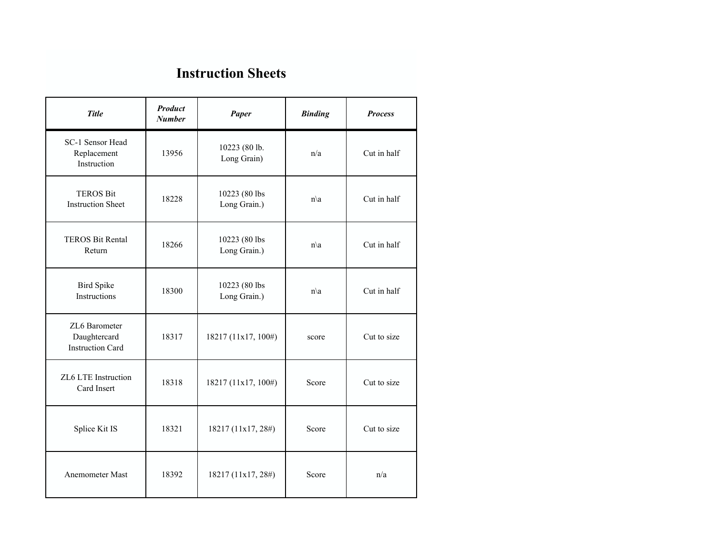### **Instruction Sheets**

| <b>Title</b>                                             | <b>Product</b><br><b>Number</b> | <b>Paper</b>                  | <b>Binding</b>  | <b>Process</b> |
|----------------------------------------------------------|---------------------------------|-------------------------------|-----------------|----------------|
| SC-1 Sensor Head<br>Replacement<br>Instruction           | 13956                           | 10223 (80 lb.<br>Long Grain)  | n/a             | Cut in half    |
| <b>TEROS Bit</b><br><b>Instruction Sheet</b>             | 18228                           | 10223 (80 lbs<br>Long Grain.) | $n\backslash a$ | Cut in half    |
| <b>TEROS Bit Rental</b><br>Return                        | 18266                           | 10223 (80 lbs<br>Long Grain.) | $n\backslash a$ | Cut in half    |
| <b>Bird Spike</b><br>Instructions                        | 18300                           | 10223 (80 lbs<br>Long Grain.) | $n\backslash a$ | Cut in half    |
| ZL6 Barometer<br>Daughtercard<br><b>Instruction Card</b> | 18317                           | 18217 (11x17, 100#)           | score           | Cut to size    |
| ZL6 LTE Instruction<br>Card Insert                       | 18318                           | 18217 (11x17, 100#)           | Score           | Cut to size    |
| Splice Kit IS                                            | 18321                           | 18217 (11x17, 28#)            | Score           | Cut to size    |
| Anemometer Mast                                          | 18392                           | 18217 (11x17, 28#)            | Score           | n/a            |